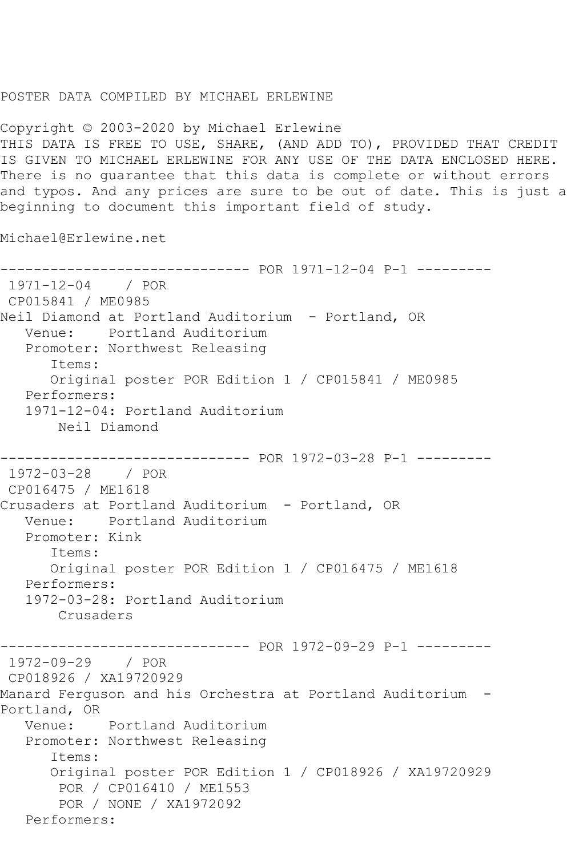## POSTER DATA COMPILED BY MICHAEL ERLEWINE

Copyright © 2003-2020 by Michael Erlewine THIS DATA IS FREE TO USE, SHARE, (AND ADD TO), PROVIDED THAT CREDIT IS GIVEN TO MICHAEL ERLEWINE FOR ANY USE OF THE DATA ENCLOSED HERE. There is no guarantee that this data is complete or without errors and typos. And any prices are sure to be out of date. This is just a beginning to document this important field of study.

Michael@Erlewine.net

------------------------------ POR 1971-12-04 P-1 --------- 1971-12-04 / POR CP015841 / ME0985 Neil Diamond at Portland Auditorium - Portland, OR Venue: Portland Auditorium Promoter: Northwest Releasing Items: Original poster POR Edition 1 / CP015841 / ME0985 Performers: 1971-12-04: Portland Auditorium Neil Diamond ------------------------------ POR 1972-03-28 P-1 --------- 1972-03-28 / POR CP016475 / ME1618 Crusaders at Portland Auditorium - Portland, OR Venue: Portland Auditorium Promoter: Kink Items: Original poster POR Edition 1 / CP016475 / ME1618 Performers: 1972-03-28: Portland Auditorium Crusaders ------------------------------ POR 1972-09-29 P-1 --------- 1972-09-29 / POR CP018926 / XA19720929 Manard Ferguson and his Orchestra at Portland Auditorium - Portland, OR Venue: Portland Auditorium Promoter: Northwest Releasing Items: Original poster POR Edition 1 / CP018926 / XA19720929 POR / CP016410 / ME1553 POR / NONE / XA1972092 Performers: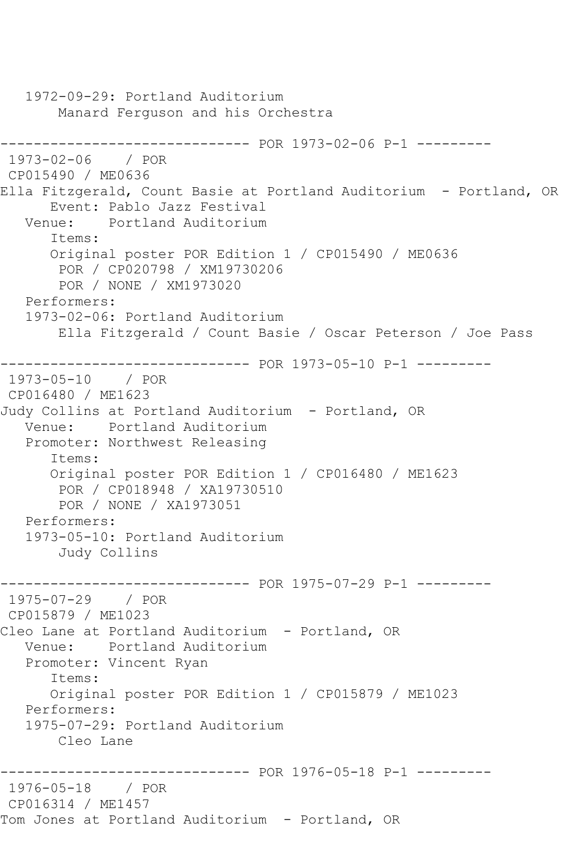1972-09-29: Portland Auditorium Manard Ferguson and his Orchestra ------------------------------ POR 1973-02-06 P-1 --------- 1973-02-06 / POR CP015490 / ME0636 Ella Fitzgerald, Count Basie at Portland Auditorium - Portland, OR Event: Pablo Jazz Festival Venue: Portland Auditorium Items: Original poster POR Edition 1 / CP015490 / ME0636 POR / CP020798 / XM19730206 POR / NONE / XM1973020 Performers: 1973-02-06: Portland Auditorium Ella Fitzgerald / Count Basie / Oscar Peterson / Joe Pass ------------------------------ POR 1973-05-10 P-1 --------- 1973-05-10 / POR CP016480 / ME1623 Judy Collins at Portland Auditorium - Portland, OR Venue: Portland Auditorium Promoter: Northwest Releasing Items: Original poster POR Edition 1 / CP016480 / ME1623 POR / CP018948 / XA19730510 POR / NONE / XA1973051 Performers: 1973-05-10: Portland Auditorium Judy Collins ------------------------------ POR 1975-07-29 P-1 --------- 1975-07-29 / POR CP015879 / ME1023 Cleo Lane at Portland Auditorium - Portland, OR Venue: Portland Auditorium Promoter: Vincent Ryan Items: Original poster POR Edition 1 / CP015879 / ME1023 Performers: 1975-07-29: Portland Auditorium Cleo Lane ------------------------------ POR 1976-05-18 P-1 --------- 1976-05-18 / POR CP016314 / ME1457 Tom Jones at Portland Auditorium - Portland, OR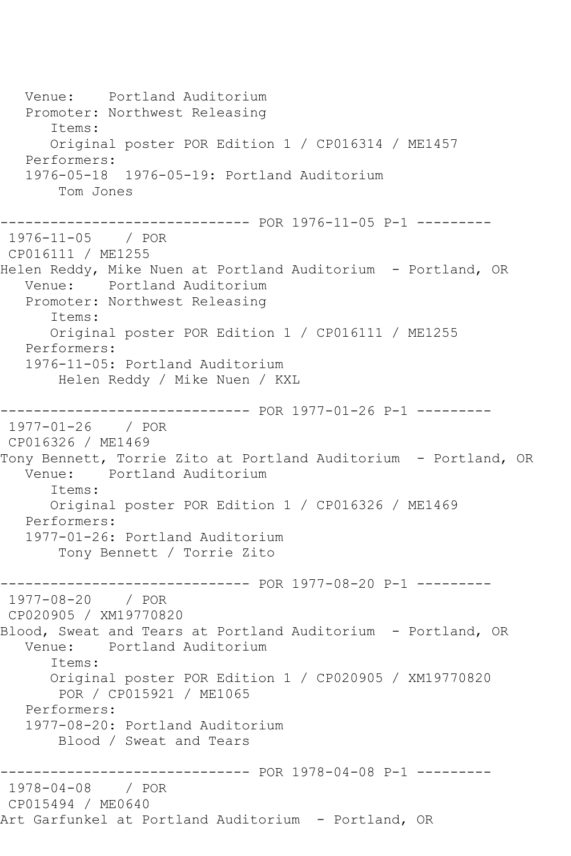Venue: Portland Auditorium Promoter: Northwest Releasing Items: Original poster POR Edition 1 / CP016314 / ME1457 Performers: 1976-05-18 1976-05-19: Portland Auditorium Tom Jones ------------------------------ POR 1976-11-05 P-1 --------- 1976-11-05 / POR CP016111 / ME1255 Helen Reddy, Mike Nuen at Portland Auditorium - Portland, OR Venue: Portland Auditorium Promoter: Northwest Releasing Items: Original poster POR Edition 1 / CP016111 / ME1255 Performers: 1976-11-05: Portland Auditorium Helen Reddy / Mike Nuen / KXL ------------------------------ POR 1977-01-26 P-1 --------- 1977-01-26 / POR CP016326 / ME1469 Tony Bennett, Torrie Zito at Portland Auditorium - Portland, OR Venue: Portland Auditorium Items: Original poster POR Edition 1 / CP016326 / ME1469 Performers: 1977-01-26: Portland Auditorium Tony Bennett / Torrie Zito ------------------------------ POR 1977-08-20 P-1 --------- 1977-08-20 / POR CP020905 / XM19770820 Blood, Sweat and Tears at Portland Auditorium - Portland, OR Venue: Portland Auditorium Items: Original poster POR Edition 1 / CP020905 / XM19770820 POR / CP015921 / ME1065 Performers: 1977-08-20: Portland Auditorium Blood / Sweat and Tears ------------------------------ POR 1978-04-08 P-1 --------- 1978-04-08 / POR CP015494 / ME0640 Art Garfunkel at Portland Auditorium - Portland, OR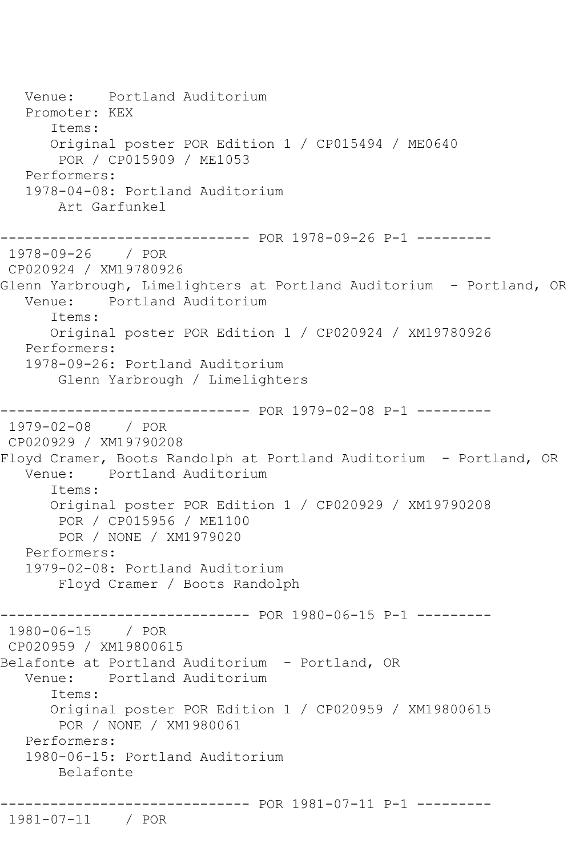```
 Venue: Portland Auditorium
   Promoter: KEX
       Items:
       Original poster POR Edition 1 / CP015494 / ME0640
        POR / CP015909 / ME1053
   Performers:
    1978-04-08: Portland Auditorium
        Art Garfunkel
------------------------------ POR 1978-09-26 P-1 ---------
1978-09-26 / POR 
CP020924 / XM19780926
Glenn Yarbrough, Limelighters at Portland Auditorium - Portland, OR<br>Venue: Portland Auditorium
            Portland Auditorium
       Items:
       Original poster POR Edition 1 / CP020924 / XM19780926
   Performers:
    1978-09-26: Portland Auditorium
        Glenn Yarbrough / Limelighters
------------------------------ POR 1979-02-08 P-1 ---------
1979-02-08 / POR 
CP020929 / XM19790208
Floyd Cramer, Boots Randolph at Portland Auditorium - Portland, OR
   Venue: Portland Auditorium
       Items:
       Original poster POR Edition 1 / CP020929 / XM19790208
        POR / CP015956 / ME1100
        POR / NONE / XM1979020
    Performers:
    1979-02-08: Portland Auditorium
        Floyd Cramer / Boots Randolph
                    ------------------------------ POR 1980-06-15 P-1 ---------
1980-06-15 / POR 
CP020959 / XM19800615
Belafonte at Portland Auditorium - Portland, OR
   Venue: Portland Auditorium
       Items:
       Original poster POR Edition 1 / CP020959 / XM19800615
        POR / NONE / XM1980061
    Performers:
    1980-06-15: Portland Auditorium
        Belafonte
               ------------------------------ POR 1981-07-11 P-1 ---------
1981-07-11 / POR
```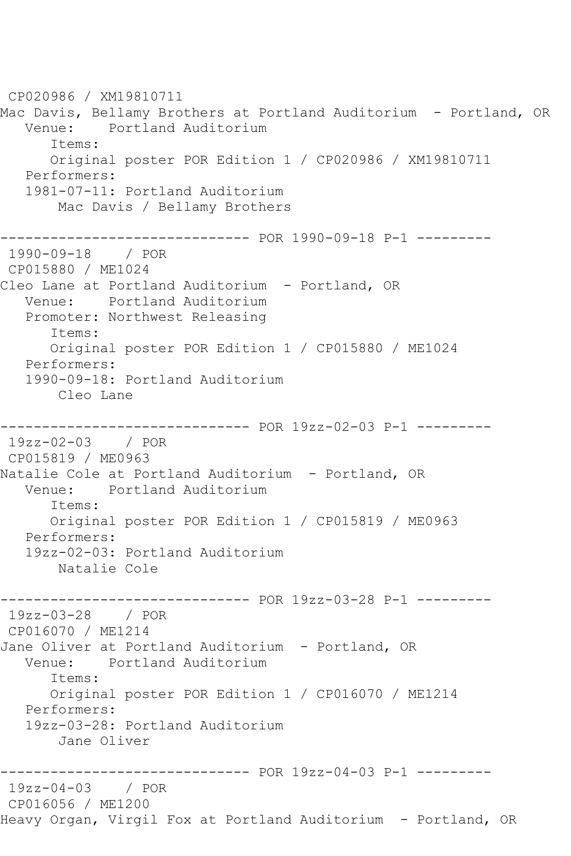CP020986 / XM19810711 Mac Davis, Bellamy Brothers at Portland Auditorium - Portland, OR Venue: Portland Auditorium Items: Original poster POR Edition 1 / CP020986 / XM19810711 Performers: 1981-07-11: Portland Auditorium Mac Davis / Bellamy Brothers ------------------------------ POR 1990-09-18 P-1 --------- 1990-09-18 / POR CP015880 / ME1024 Cleo Lane at Portland Auditorium - Portland, OR Venue: Portland Auditorium Promoter: Northwest Releasing Items: Original poster POR Edition 1 / CP015880 / ME1024 Performers: 1990-09-18: Portland Auditorium Cleo Lane ------------------------------ POR 19zz-02-03 P-1 --------- 19zz-02-03 / POR CP015819 / ME0963 Natalie Cole at Portland Auditorium - Portland, OR Venue: Portland Auditorium Items: Original poster POR Edition 1 / CP015819 / ME0963 Performers: 19zz-02-03: Portland Auditorium Natalie Cole ------------------------------ POR 19zz-03-28 P-1 --------- 19zz-03-28 / POR CP016070 / ME1214 Jane Oliver at Portland Auditorium - Portland, OR Venue: Portland Auditorium Items: Original poster POR Edition 1 / CP016070 / ME1214 Performers: 19zz-03-28: Portland Auditorium Jane Oliver ------------------------------ POR 19zz-04-03 P-1 --------- 19zz-04-03 / POR CP016056 / ME1200 Heavy Organ, Virgil Fox at Portland Auditorium - Portland, OR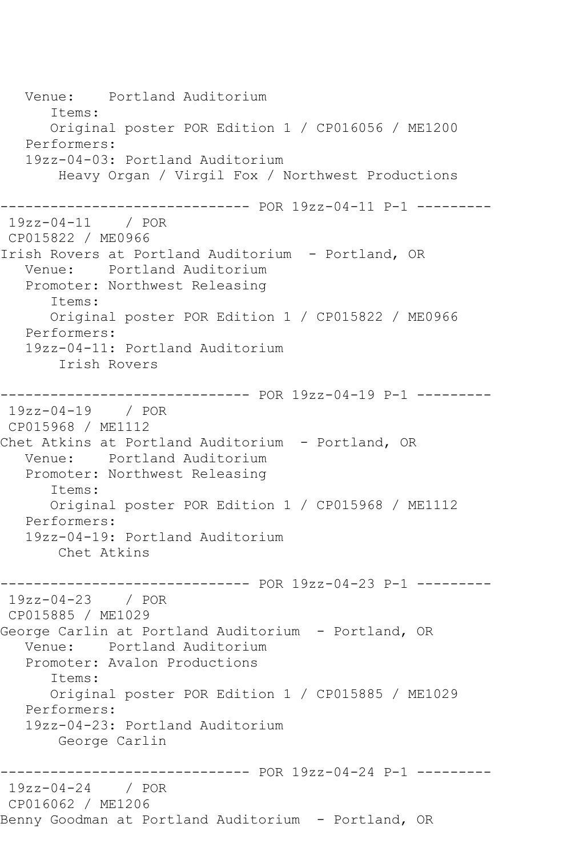Venue: Portland Auditorium Items: Original poster POR Edition 1 / CP016056 / ME1200 Performers: 19zz-04-03: Portland Auditorium Heavy Organ / Virgil Fox / Northwest Productions ------------------------------ POR 19zz-04-11 P-1 --------- 19zz-04-11 / POR CP015822 / ME0966 Irish Rovers at Portland Auditorium - Portland, OR Venue: Portland Auditorium Promoter: Northwest Releasing Items: Original poster POR Edition 1 / CP015822 / ME0966 Performers: 19zz-04-11: Portland Auditorium Irish Rovers ------------------------------ POR 19zz-04-19 P-1 --------- 19zz-04-19 / POR CP015968 / ME1112 Chet Atkins at Portland Auditorium - Portland, OR Venue: Portland Auditorium Promoter: Northwest Releasing Items: Original poster POR Edition 1 / CP015968 / ME1112 Performers: 19zz-04-19: Portland Auditorium Chet Atkins ------------------------------ POR 19zz-04-23 P-1 --------- 19zz-04-23 / POR CP015885 / ME1029 George Carlin at Portland Auditorium - Portland, OR Venue: Portland Auditorium Promoter: Avalon Productions Items: Original poster POR Edition 1 / CP015885 / ME1029 Performers: 19zz-04-23: Portland Auditorium George Carlin ------------------------------ POR 19zz-04-24 P-1 --------- 19zz-04-24 / POR CP016062 / ME1206 Benny Goodman at Portland Auditorium - Portland, OR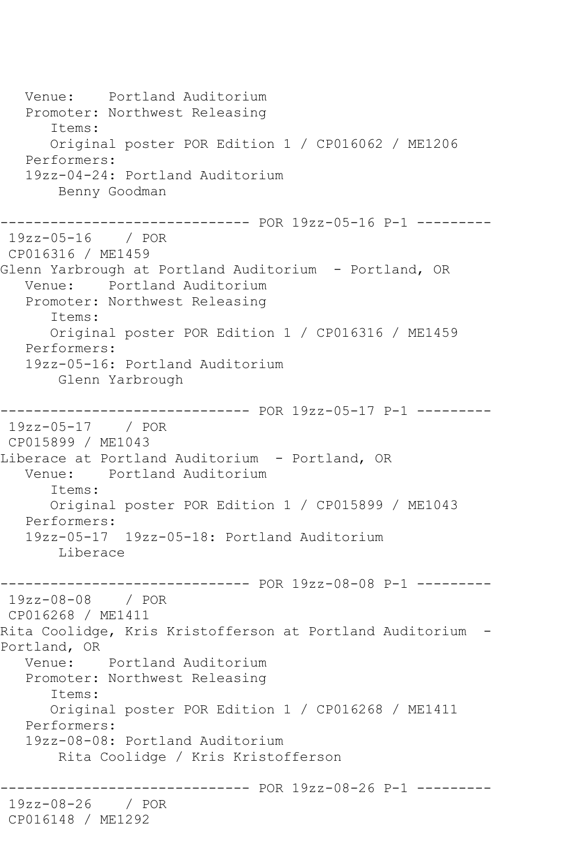Venue: Portland Auditorium Promoter: Northwest Releasing Items: Original poster POR Edition 1 / CP016062 / ME1206 Performers: 19zz-04-24: Portland Auditorium Benny Goodman ------------------------------ POR 19zz-05-16 P-1 --------- 19zz-05-16 / POR CP016316 / ME1459 Glenn Yarbrough at Portland Auditorium - Portland, OR Venue: Portland Auditorium Promoter: Northwest Releasing Items: Original poster POR Edition 1 / CP016316 / ME1459 Performers: 19zz-05-16: Portland Auditorium Glenn Yarbrough ------------------------------ POR 19zz-05-17 P-1 --------- 19zz-05-17 / POR CP015899 / ME1043 Liberace at Portland Auditorium - Portland, OR Venue: Portland Auditorium Items: Original poster POR Edition 1 / CP015899 / ME1043 Performers: 19zz-05-17 19zz-05-18: Portland Auditorium Liberace ------------------------------ POR 19zz-08-08 P-1 --------- 19zz-08-08 / POR CP016268 / ME1411 Rita Coolidge, Kris Kristofferson at Portland Auditorium - Portland, OR Venue: Portland Auditorium Promoter: Northwest Releasing Items: Original poster POR Edition 1 / CP016268 / ME1411 Performers: 19zz-08-08: Portland Auditorium Rita Coolidge / Kris Kristofferson ------------------------------ POR 19zz-08-26 P-1 --------- 19zz-08-26 / POR CP016148 / ME1292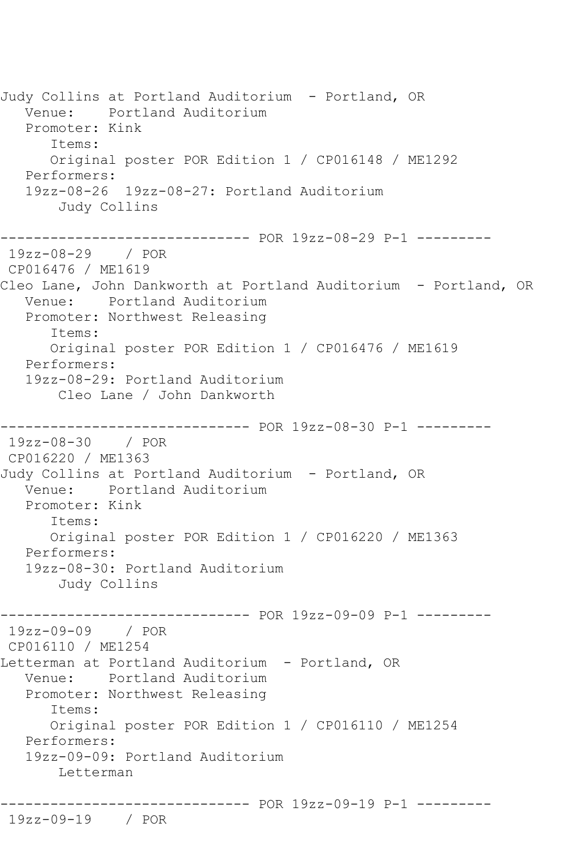Judy Collins at Portland Auditorium - Portland, OR Venue: Portland Auditorium Promoter: Kink Items: Original poster POR Edition 1 / CP016148 / ME1292 Performers: 19zz-08-26 19zz-08-27: Portland Auditorium Judy Collins ------------------------------ POR 19zz-08-29 P-1 --------- 19zz-08-29 / POR CP016476 / ME1619 Cleo Lane, John Dankworth at Portland Auditorium - Portland, OR Venue: Portland Auditorium Promoter: Northwest Releasing Items: Original poster POR Edition 1 / CP016476 / ME1619 Performers: 19zz-08-29: Portland Auditorium Cleo Lane / John Dankworth ------------------------------ POR 19zz-08-30 P-1 --------- 19zz-08-30 / POR CP016220 / ME1363 Judy Collins at Portland Auditorium - Portland, OR Venue: Portland Auditorium Promoter: Kink Items: Original poster POR Edition 1 / CP016220 / ME1363 Performers: 19zz-08-30: Portland Auditorium Judy Collins ------------------------------ POR 19zz-09-09 P-1 --------- 19zz-09-09 / POR CP016110 / ME1254 Letterman at Portland Auditorium - Portland, OR Venue: Portland Auditorium Promoter: Northwest Releasing Items: Original poster POR Edition 1 / CP016110 / ME1254 Performers: 19zz-09-09: Portland Auditorium Letterman ------------------------------ POR 19zz-09-19 P-1 ---------

19zz-09-19 / POR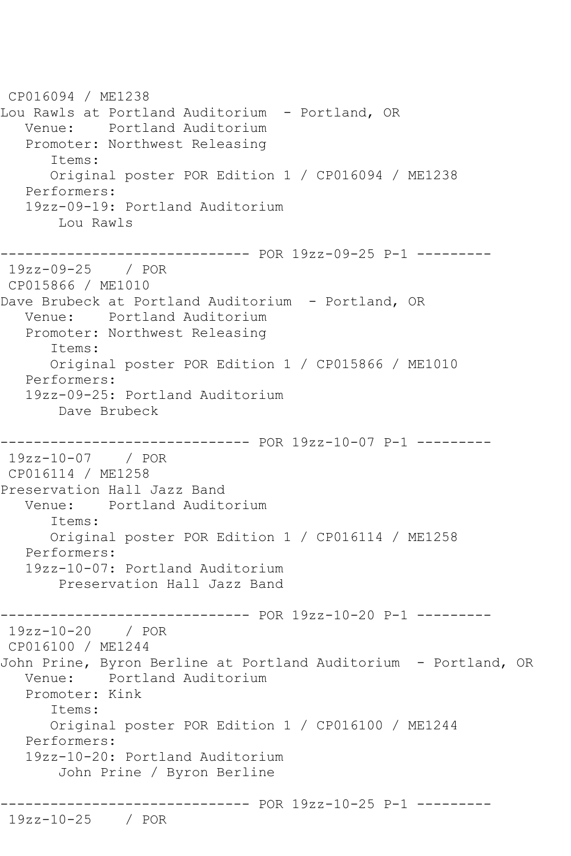CP016094 / ME1238 Lou Rawls at Portland Auditorium - Portland, OR Venue: Portland Auditorium Promoter: Northwest Releasing Items: Original poster POR Edition 1 / CP016094 / ME1238 Performers: 19zz-09-19: Portland Auditorium Lou Rawls ------------------------------ POR 19zz-09-25 P-1 --------- 19zz-09-25 / POR CP015866 / ME1010 Dave Brubeck at Portland Auditorium - Portland, OR Venue: Portland Auditorium Promoter: Northwest Releasing Items: Original poster POR Edition 1 / CP015866 / ME1010 Performers: 19zz-09-25: Portland Auditorium Dave Brubeck ------------------------------ POR 19zz-10-07 P-1 --------- 19zz-10-07 / POR CP016114 / ME1258 Preservation Hall Jazz Band Venue: Portland Auditorium Items: Original poster POR Edition 1 / CP016114 / ME1258 Performers: 19zz-10-07: Portland Auditorium Preservation Hall Jazz Band ------------------------------ POR 19zz-10-20 P-1 --------- 19zz-10-20 / POR CP016100 / ME1244 John Prine, Byron Berline at Portland Auditorium - Portland, OR Venue: Portland Auditorium Promoter: Kink Items: Original poster POR Edition 1 / CP016100 / ME1244 Performers: 19zz-10-20: Portland Auditorium John Prine / Byron Berline ------------------------------ POR 19zz-10-25 P-1 --------- 19zz-10-25 / POR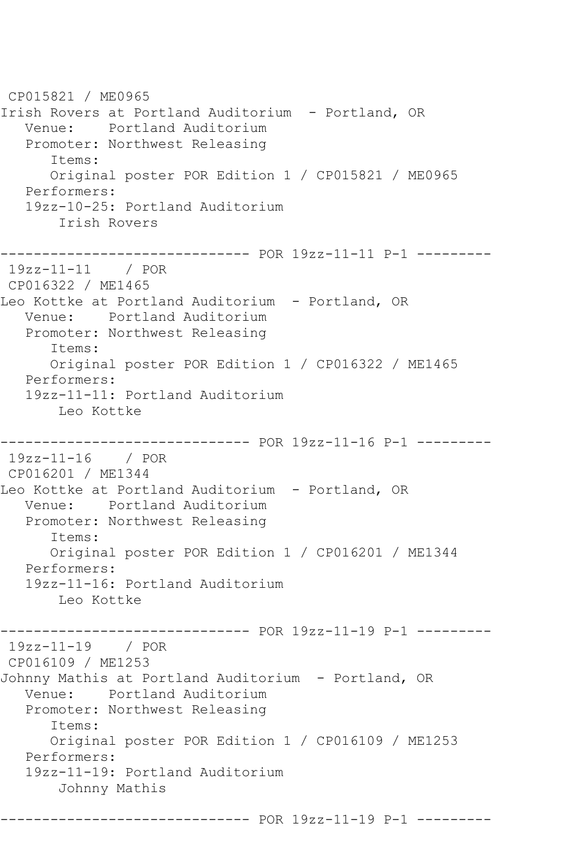CP015821 / ME0965 Irish Rovers at Portland Auditorium - Portland, OR Venue: Portland Auditorium Promoter: Northwest Releasing Items: Original poster POR Edition 1 / CP015821 / ME0965 Performers: 19zz-10-25: Portland Auditorium Irish Rovers ------------------------------ POR 19zz-11-11 P-1 --------- 19zz-11-11 / POR CP016322 / ME1465 Leo Kottke at Portland Auditorium - Portland, OR Venue: Portland Auditorium Promoter: Northwest Releasing Items: Original poster POR Edition 1 / CP016322 / ME1465 Performers: 19zz-11-11: Portland Auditorium Leo Kottke ------------------------------ POR 19zz-11-16 P-1 --------- 19zz-11-16 / POR CP016201 / ME1344 Leo Kottke at Portland Auditorium - Portland, OR Venue: Portland Auditorium Promoter: Northwest Releasing Items: Original poster POR Edition 1 / CP016201 / ME1344 Performers: 19zz-11-16: Portland Auditorium Leo Kottke ------------------------------ POR 19zz-11-19 P-1 --------- 19zz-11-19 / POR CP016109 / ME1253 Johnny Mathis at Portland Auditorium - Portland, OR Venue: Portland Auditorium Promoter: Northwest Releasing Items: Original poster POR Edition 1 / CP016109 / ME1253 Performers: 19zz-11-19: Portland Auditorium Johnny Mathis ------------------------------ POR 19zz-11-19 P-1 ---------